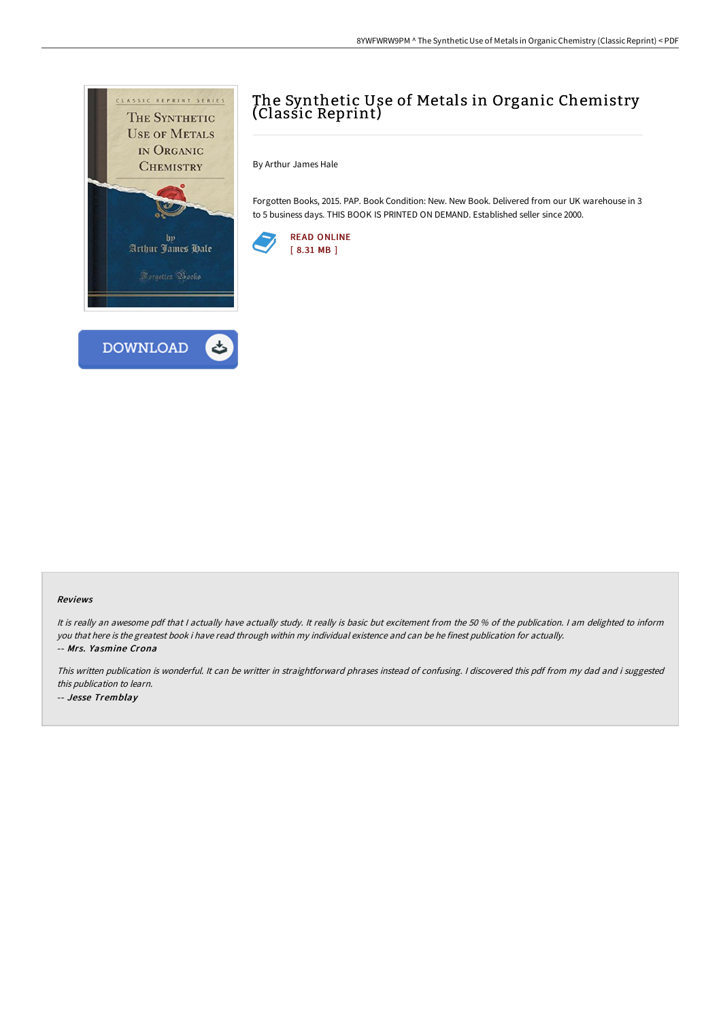

## The Synthetic Use of Metals in Organic Chemistry (Classic Reprint)

By Arthur James Hale

Forgotten Books, 2015. PAP. Book Condition: New. New Book. Delivered from our UK warehouse in 3 to 5 business days. THIS BOOK IS PRINTED ON DEMAND. Established seller since 2000.



## Reviews

It is really an awesome pdf that I actually have actually study. It really is basic but excitement from the 50 % of the publication. I am delighted to inform you that here is the greatest book i have read through within my individual existence and can be he finest publication for actually. -- Mrs. Yasmine Crona

This written publication is wonderful. It can be writter in straightforward phrases instead of confusing. <sup>I</sup> discovered this pdf from my dad and i suggested this publication to learn. -- Jesse Tremblay